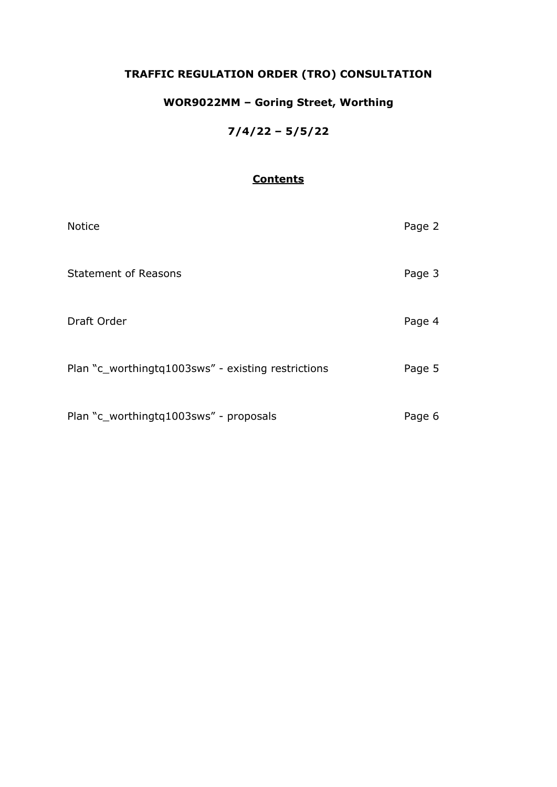## **TRAFFIC REGULATION ORDER (TRO) CONSULTATION**

## **WOR9022MM – Goring Street, Worthing**

### **7/4/22 – 5/5/22**

### **Contents**

| <b>Notice</b>                                      | Page 2 |
|----------------------------------------------------|--------|
| <b>Statement of Reasons</b>                        | Page 3 |
| Draft Order                                        | Page 4 |
| Plan "c_worthingtq1003sws" - existing restrictions | Page 5 |
| Plan "c_worthingtq1003sws" - proposals             | Page 6 |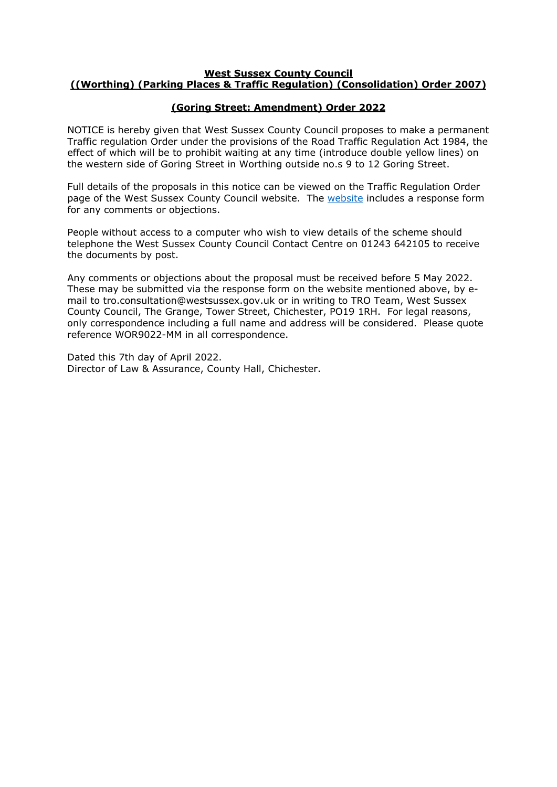#### **West Sussex County Council ((Worthing) (Parking Places & Traffic Regulation) (Consolidation) Order 2007)**

#### **(Goring Street: Amendment) Order 2022**

NOTICE is hereby given that West Sussex County Council proposes to make a permanent Traffic regulation Order under the provisions of the Road Traffic Regulation Act 1984, the effect of which will be to prohibit waiting at any time (introduce double yellow lines) on the western side of Goring Street in Worthing outside no.s 9 to 12 Goring Street.

Full details of the proposals in this notice can be viewed on the Traffic Regulation Order page of the West Sussex County Council [website](https://www.westsussex.gov.uk/roads-and-travel/traffic-regulation-orders/). The website includes a response form for any comments or objections.

People without access to a computer who wish to view details of the scheme should telephone the West Sussex County Council Contact Centre on 01243 642105 to receive the documents by post.

Any comments or objections about the proposal must be received before 5 May 2022. These may be submitted via the response form on the website mentioned above, by email to tro.consultation@westsussex.gov.uk or in writing to TRO Team, West Sussex County Council, The Grange, Tower Street, Chichester, PO19 1RH. For legal reasons, only correspondence including a full name and address will be considered. Please quote reference WOR9022-MM in all correspondence.

Dated this 7th day of April 2022. Director of Law & Assurance, County Hall, Chichester.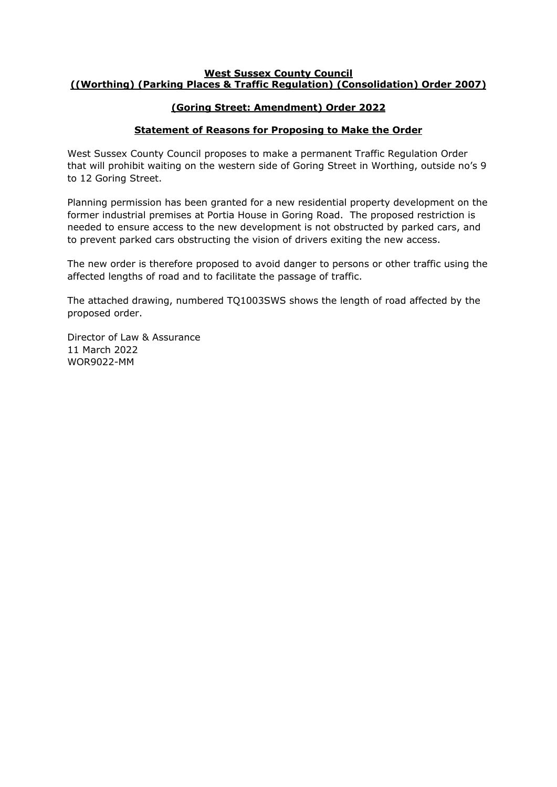#### **West Sussex County Council ((Worthing) (Parking Places & Traffic Regulation) (Consolidation) Order 2007)**

#### **(Goring Street: Amendment) Order 2022**

#### **Statement of Reasons for Proposing to Make the Order**

West Sussex County Council proposes to make a permanent Traffic Regulation Order that will prohibit waiting on the western side of Goring Street in Worthing, outside no's 9 to 12 Goring Street.

Planning permission has been granted for a new residential property development on the former industrial premises at Portia House in Goring Road. The proposed restriction is needed to ensure access to the new development is not obstructed by parked cars, and to prevent parked cars obstructing the vision of drivers exiting the new access.

The new order is therefore proposed to avoid danger to persons or other traffic using the affected lengths of road and to facilitate the passage of traffic.

The attached drawing, numbered TQ1003SWS shows the length of road affected by the proposed order.

Director of Law & Assurance 11 March 2022 WOR9022-MM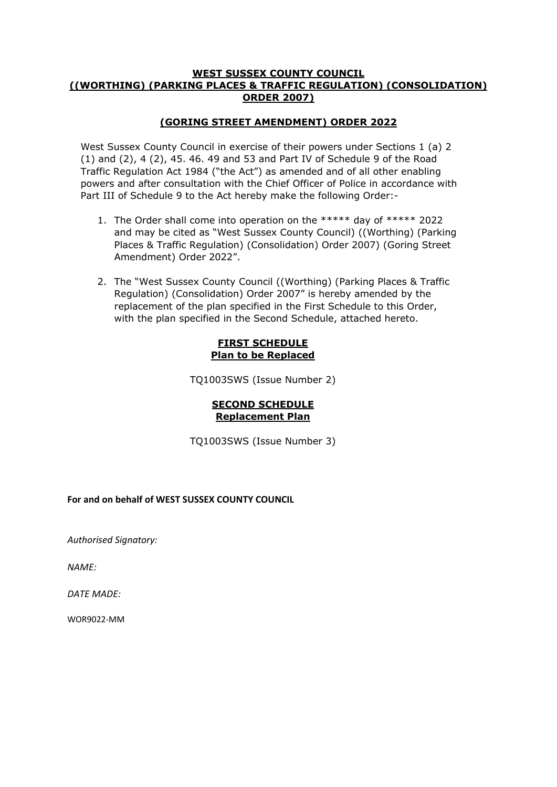#### **WEST SUSSEX COUNTY COUNCIL ((WORTHING) (PARKING PLACES & TRAFFIC REGULATION) (CONSOLIDATION) ORDER 2007)**

#### **(GORING STREET AMENDMENT) ORDER 2022**

West Sussex County Council in exercise of their powers under Sections 1 (a) 2 (1) and (2), 4 (2), 45. 46. 49 and 53 and Part IV of Schedule 9 of the Road Traffic Regulation Act 1984 ("the Act") as amended and of all other enabling powers and after consultation with the Chief Officer of Police in accordance with Part III of Schedule 9 to the Act hereby make the following Order:-

- 1. The Order shall come into operation on the \*\*\*\*\* day of \*\*\*\*\* 2022 and may be cited as "West Sussex County Council) ((Worthing) (Parking Places & Traffic Regulation) (Consolidation) Order 2007) (Goring Street Amendment) Order 2022".
- 2. The "West Sussex County Council ((Worthing) (Parking Places & Traffic Regulation) (Consolidation) Order 2007" is hereby amended by the replacement of the plan specified in the First Schedule to this Order, with the plan specified in the Second Schedule, attached hereto.

#### **FIRST SCHEDULE Plan to be Replaced**

TQ1003SWS (Issue Number 2)

#### **SECOND SCHEDULE Replacement Plan**

TQ1003SWS (Issue Number 3)

#### **For and on behalf of WEST SUSSEX COUNTY COUNCIL**

*Authorised Signatory:* 

*NAME:*

*DATE MADE:* 

WOR9022-MM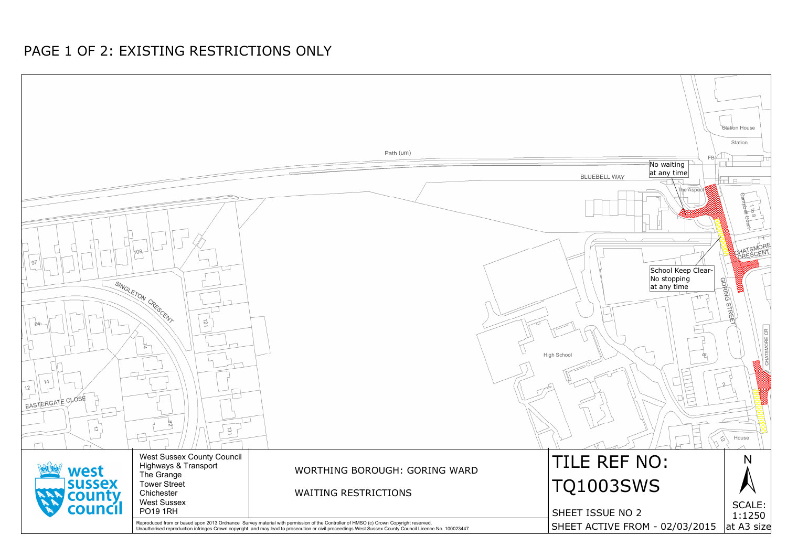

# PAGE 1 OF 2: EXISTING RESTRICTIONS ONLY